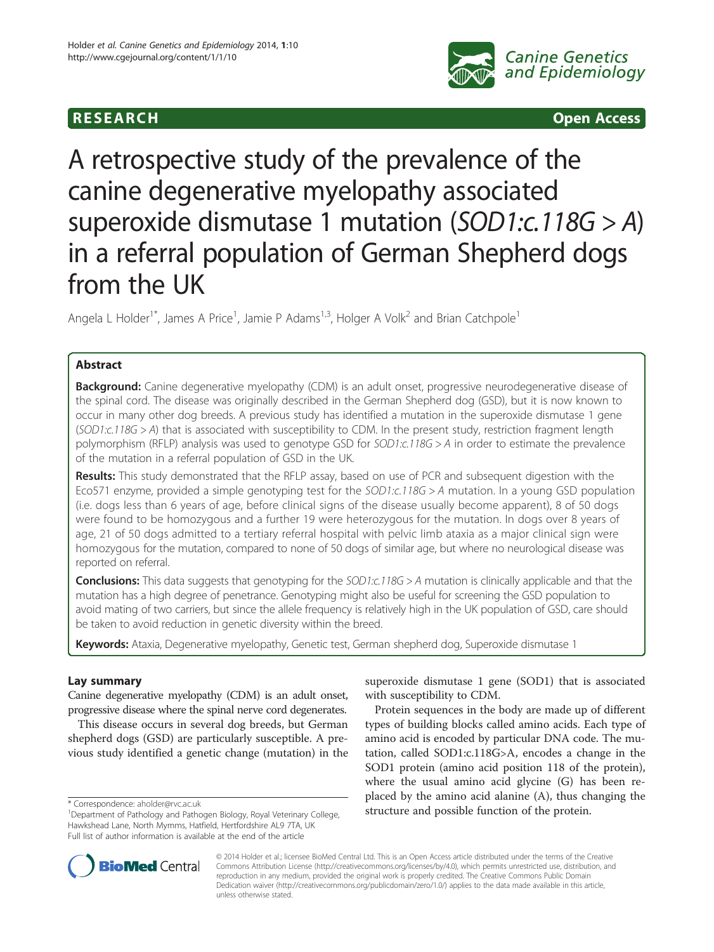

**RESEARCH CHINESEARCH CHINESEARCH** 

# A retrospective study of the prevalence of the canine degenerative myelopathy associated superoxide dismutase 1 mutation (SOD1:c.118G > A) in a referral population of German Shepherd dogs from the UK

Angela L Holder<sup>1\*</sup>, James A Price<sup>1</sup>, Jamie P Adams<sup>1,3</sup>, Holger A Volk<sup>2</sup> and Brian Catchpole<sup>1</sup>

# Abstract

Background: Canine degenerative myelopathy (CDM) is an adult onset, progressive neurodegenerative disease of the spinal cord. The disease was originally described in the German Shepherd dog (GSD), but it is now known to occur in many other dog breeds. A previous study has identified a mutation in the superoxide dismutase 1 gene (SOD1:c.118G > A) that is associated with susceptibility to CDM. In the present study, restriction fragment length polymorphism (RFLP) analysis was used to genotype GSD for SOD1:c.118G > A in order to estimate the prevalence of the mutation in a referral population of GSD in the UK.

Results: This study demonstrated that the RFLP assay, based on use of PCR and subsequent digestion with the Eco571 enzyme, provided a simple genotyping test for the SOD1:c.118G > A mutation. In a young GSD population (i.e. dogs less than 6 years of age, before clinical signs of the disease usually become apparent), 8 of 50 dogs were found to be homozygous and a further 19 were heterozygous for the mutation. In dogs over 8 years of age, 21 of 50 dogs admitted to a tertiary referral hospital with pelvic limb ataxia as a major clinical sign were homozygous for the mutation, compared to none of 50 dogs of similar age, but where no neurological disease was reported on referral.

**Conclusions:** This data suggests that genotyping for the  $SOD1: c.118G > A$  mutation is clinically applicable and that the mutation has a high degree of penetrance. Genotyping might also be useful for screening the GSD population to avoid mating of two carriers, but since the allele frequency is relatively high in the UK population of GSD, care should be taken to avoid reduction in genetic diversity within the breed.

Keywords: Ataxia, Degenerative myelopathy, Genetic test, German shepherd dog, Superoxide dismutase 1

# Lay summary

Canine degenerative myelopathy (CDM) is an adult onset, progressive disease where the spinal nerve cord degenerates.

This disease occurs in several dog breeds, but German shepherd dogs (GSD) are particularly susceptible. A previous study identified a genetic change (mutation) in the superoxide dismutase 1 gene (SOD1) that is associated with susceptibility to CDM.

Protein sequences in the body are made up of different types of building blocks called amino acids. Each type of amino acid is encoded by particular DNA code. The mutation, called SOD1:c.118G>A, encodes a change in the SOD1 protein (amino acid position 118 of the protein), where the usual amino acid glycine (G) has been replaced by the amino acid alanine (A), thus changing the \* Correspondence: [aholder@rvc.ac.uk](mailto:aholder@rvc.ac.uk)<br><sup>1</sup>Department of Pathology and Pathogen Biology Royal Veterinary College **structure and possible function of the protein.** 



© 2014 Holder et al.; licensee BioMed Central Ltd. This is an Open Access article distributed under the terms of the Creative Commons Attribution License [\(http://creativecommons.org/licenses/by/4.0\)](http://creativecommons.org/licenses/by/4.0), which permits unrestricted use, distribution, and reproduction in any medium, provided the original work is properly credited. The Creative Commons Public Domain Dedication waiver [\(http://creativecommons.org/publicdomain/zero/1.0/](http://creativecommons.org/publicdomain/zero/1.0/)) applies to the data made available in this article, unless otherwise stated.

<sup>&</sup>lt;sup>1</sup>Department of Pathology and Pathogen Biology, Royal Veterinary College, Hawkshead Lane, North Mymms, Hatfield, Hertfordshire AL9 7TA, UK Full list of author information is available at the end of the article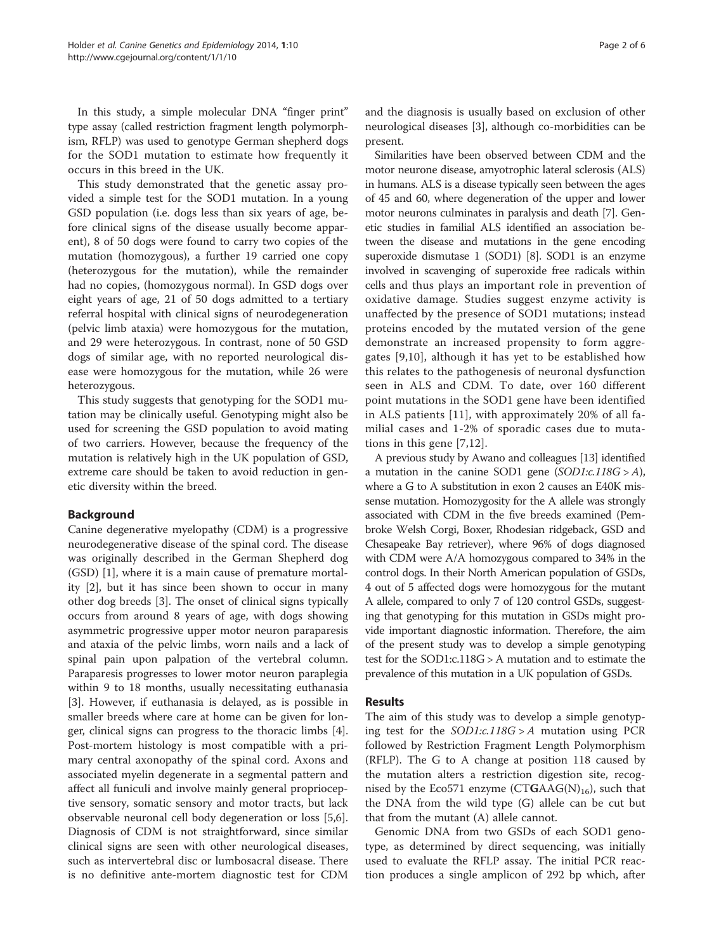In this study, a simple molecular DNA "finger print" type assay (called restriction fragment length polymorphism, RFLP) was used to genotype German shepherd dogs for the SOD1 mutation to estimate how frequently it occurs in this breed in the UK.

This study demonstrated that the genetic assay provided a simple test for the SOD1 mutation. In a young GSD population (i.e. dogs less than six years of age, before clinical signs of the disease usually become apparent), 8 of 50 dogs were found to carry two copies of the mutation (homozygous), a further 19 carried one copy (heterozygous for the mutation), while the remainder had no copies, (homozygous normal). In GSD dogs over eight years of age, 21 of 50 dogs admitted to a tertiary referral hospital with clinical signs of neurodegeneration (pelvic limb ataxia) were homozygous for the mutation, and 29 were heterozygous. In contrast, none of 50 GSD dogs of similar age, with no reported neurological disease were homozygous for the mutation, while 26 were heterozygous.

This study suggests that genotyping for the SOD1 mutation may be clinically useful. Genotyping might also be used for screening the GSD population to avoid mating of two carriers. However, because the frequency of the mutation is relatively high in the UK population of GSD, extreme care should be taken to avoid reduction in genetic diversity within the breed.

# Background

Canine degenerative myelopathy (CDM) is a progressive neurodegenerative disease of the spinal cord. The disease was originally described in the German Shepherd dog (GSD) [[1](#page-4-0)], where it is a main cause of premature mortality [\[2](#page-4-0)], but it has since been shown to occur in many other dog breeds [[3\]](#page-4-0). The onset of clinical signs typically occurs from around 8 years of age, with dogs showing asymmetric progressive upper motor neuron paraparesis and ataxia of the pelvic limbs, worn nails and a lack of spinal pain upon palpation of the vertebral column. Paraparesis progresses to lower motor neuron paraplegia within 9 to 18 months, usually necessitating euthanasia [[3\]](#page-4-0). However, if euthanasia is delayed, as is possible in smaller breeds where care at home can be given for longer, clinical signs can progress to the thoracic limbs [\[4](#page-4-0)]. Post-mortem histology is most compatible with a primary central axonopathy of the spinal cord. Axons and associated myelin degenerate in a segmental pattern and affect all funiculi and involve mainly general proprioceptive sensory, somatic sensory and motor tracts, but lack observable neuronal cell body degeneration or loss [\[5,6](#page-4-0)]. Diagnosis of CDM is not straightforward, since similar clinical signs are seen with other neurological diseases, such as intervertebral disc or lumbosacral disease. There is no definitive ante-mortem diagnostic test for CDM and the diagnosis is usually based on exclusion of other neurological diseases [[3\]](#page-4-0), although co-morbidities can be present.

Similarities have been observed between CDM and the motor neurone disease, amyotrophic lateral sclerosis (ALS) in humans. ALS is a disease typically seen between the ages of 45 and 60, where degeneration of the upper and lower motor neurons culminates in paralysis and death [[7](#page-4-0)]. Genetic studies in familial ALS identified an association between the disease and mutations in the gene encoding superoxide dismutase 1 (SOD1) [\[8\]](#page-4-0). SOD1 is an enzyme involved in scavenging of superoxide free radicals within cells and thus plays an important role in prevention of oxidative damage. Studies suggest enzyme activity is unaffected by the presence of SOD1 mutations; instead proteins encoded by the mutated version of the gene demonstrate an increased propensity to form aggregates [[9,10\]](#page-4-0), although it has yet to be established how this relates to the pathogenesis of neuronal dysfunction seen in ALS and CDM. To date, over 160 different point mutations in the SOD1 gene have been identified in ALS patients [[11\]](#page-4-0), with approximately 20% of all familial cases and 1-2% of sporadic cases due to mutations in this gene [[7,12](#page-4-0)].

A previous study by Awano and colleagues [[13](#page-4-0)] identified a mutation in the canine SOD1 gene  $(SOD1::118G > A)$ , where a G to A substitution in exon 2 causes an E40K missense mutation. Homozygosity for the A allele was strongly associated with CDM in the five breeds examined (Pembroke Welsh Corgi, Boxer, Rhodesian ridgeback, GSD and Chesapeake Bay retriever), where 96% of dogs diagnosed with CDM were A/A homozygous compared to 34% in the control dogs. In their North American population of GSDs, 4 out of 5 affected dogs were homozygous for the mutant A allele, compared to only 7 of 120 control GSDs, suggesting that genotyping for this mutation in GSDs might provide important diagnostic information. Therefore, the aim of the present study was to develop a simple genotyping test for the SOD1:c.118G > A mutation and to estimate the prevalence of this mutation in a UK population of GSDs.

# Results

The aim of this study was to develop a simple genotyping test for the  $SOD1:c.118G > A$  mutation using PCR followed by Restriction Fragment Length Polymorphism (RFLP). The G to A change at position 118 caused by the mutation alters a restriction digestion site, recognised by the Eco571 enzyme (CTGAAG(N)<sub>16</sub>), such that the DNA from the wild type (G) allele can be cut but that from the mutant (A) allele cannot.

Genomic DNA from two GSDs of each SOD1 genotype, as determined by direct sequencing, was initially used to evaluate the RFLP assay. The initial PCR reaction produces a single amplicon of 292 bp which, after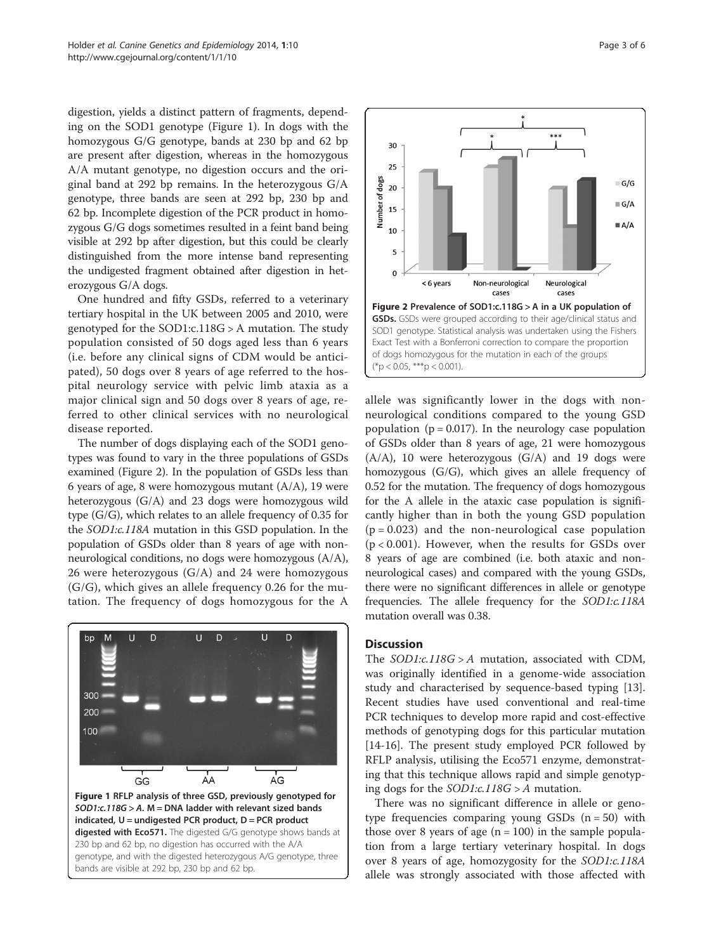digestion, yields a distinct pattern of fragments, depending on the SOD1 genotype (Figure 1). In dogs with the homozygous G/G genotype, bands at 230 bp and 62 bp are present after digestion, whereas in the homozygous A/A mutant genotype, no digestion occurs and the original band at 292 bp remains. In the heterozygous G/A genotype, three bands are seen at 292 bp, 230 bp and 62 bp. Incomplete digestion of the PCR product in homozygous G/G dogs sometimes resulted in a feint band being visible at 292 bp after digestion, but this could be clearly distinguished from the more intense band representing the undigested fragment obtained after digestion in heterozygous G/A dogs.

One hundred and fifty GSDs, referred to a veterinary tertiary hospital in the UK between 2005 and 2010, were genotyped for the SOD1:c.118G > A mutation. The study population consisted of 50 dogs aged less than 6 years (i.e. before any clinical signs of CDM would be anticipated), 50 dogs over 8 years of age referred to the hospital neurology service with pelvic limb ataxia as a major clinical sign and 50 dogs over 8 years of age, referred to other clinical services with no neurological disease reported.

The number of dogs displaying each of the SOD1 genotypes was found to vary in the three populations of GSDs examined (Figure 2). In the population of GSDs less than 6 years of age, 8 were homozygous mutant (A/A), 19 were heterozygous (G/A) and 23 dogs were homozygous wild type (G/G), which relates to an allele frequency of 0.35 for the SOD1:c.118A mutation in this GSD population. In the population of GSDs older than 8 years of age with nonneurological conditions, no dogs were homozygous (A/A), 26 were heterozygous (G/A) and 24 were homozygous (G/G), which gives an allele frequency 0.26 for the mutation. The frequency of dogs homozygous for the A





allele was significantly lower in the dogs with nonneurological conditions compared to the young GSD population ( $p = 0.017$ ). In the neurology case population of GSDs older than 8 years of age, 21 were homozygous (A/A), 10 were heterozygous (G/A) and 19 dogs were homozygous (G/G), which gives an allele frequency of 0.52 for the mutation. The frequency of dogs homozygous for the A allele in the ataxic case population is significantly higher than in both the young GSD population  $(p = 0.023)$  and the non-neurological case population  $(p < 0.001)$ . However, when the results for GSDs over 8 years of age are combined (i.e. both ataxic and nonneurological cases) and compared with the young GSDs, there were no significant differences in allele or genotype frequencies. The allele frequency for the SOD1:c.118A mutation overall was 0.38.

### **Discussion**

The  $SOD1::.118G > A$  mutation, associated with CDM, was originally identified in a genome-wide association study and characterised by sequence-based typing [\[13](#page-4-0)]. Recent studies have used conventional and real-time PCR techniques to develop more rapid and cost-effective methods of genotyping dogs for this particular mutation [[14-16](#page-5-0)]. The present study employed PCR followed by RFLP analysis, utilising the Eco571 enzyme, demonstrating that this technique allows rapid and simple genotyping dogs for the *SOD1:c.118G* >  $A$  mutation.

There was no significant difference in allele or genotype frequencies comparing young GSDs  $(n = 50)$  with those over 8 years of age  $(n = 100)$  in the sample population from a large tertiary veterinary hospital. In dogs over 8 years of age, homozygosity for the SOD1:c.118A allele was strongly associated with those affected with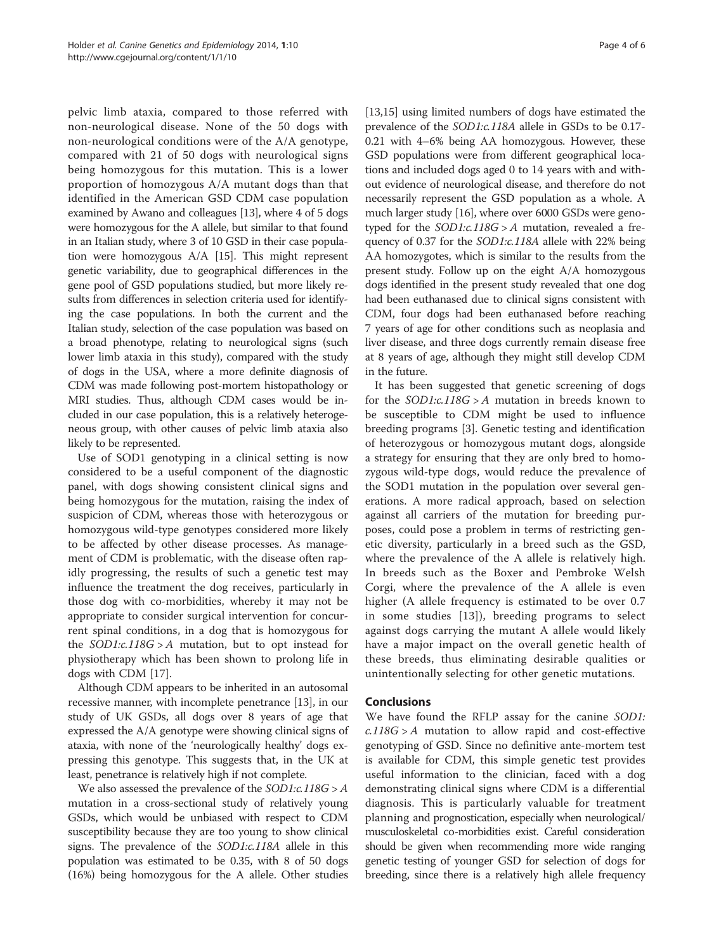pelvic limb ataxia, compared to those referred with non-neurological disease. None of the 50 dogs with non-neurological conditions were of the A/A genotype, compared with 21 of 50 dogs with neurological signs being homozygous for this mutation. This is a lower proportion of homozygous A/A mutant dogs than that identified in the American GSD CDM case population examined by Awano and colleagues [\[13\]](#page-4-0), where 4 of 5 dogs were homozygous for the A allele, but similar to that found in an Italian study, where 3 of 10 GSD in their case population were homozygous A/A [\[15\]](#page-5-0). This might represent genetic variability, due to geographical differences in the gene pool of GSD populations studied, but more likely results from differences in selection criteria used for identifying the case populations. In both the current and the Italian study, selection of the case population was based on a broad phenotype, relating to neurological signs (such lower limb ataxia in this study), compared with the study of dogs in the USA, where a more definite diagnosis of CDM was made following post-mortem histopathology or MRI studies. Thus, although CDM cases would be included in our case population, this is a relatively heterogeneous group, with other causes of pelvic limb ataxia also likely to be represented.

Use of SOD1 genotyping in a clinical setting is now considered to be a useful component of the diagnostic panel, with dogs showing consistent clinical signs and being homozygous for the mutation, raising the index of suspicion of CDM, whereas those with heterozygous or homozygous wild-type genotypes considered more likely to be affected by other disease processes. As management of CDM is problematic, with the disease often rapidly progressing, the results of such a genetic test may influence the treatment the dog receives, particularly in those dog with co-morbidities, whereby it may not be appropriate to consider surgical intervention for concurrent spinal conditions, in a dog that is homozygous for the  $SOD1:c.118G > A$  mutation, but to opt instead for physiotherapy which has been shown to prolong life in dogs with CDM [\[17](#page-5-0)].

Although CDM appears to be inherited in an autosomal recessive manner, with incomplete penetrance [\[13\]](#page-4-0), in our study of UK GSDs, all dogs over 8 years of age that expressed the A/A genotype were showing clinical signs of ataxia, with none of the 'neurologically healthy' dogs expressing this genotype. This suggests that, in the UK at least, penetrance is relatively high if not complete.

We also assessed the prevalence of the  $SOD1:c.118G > A$ mutation in a cross-sectional study of relatively young GSDs, which would be unbiased with respect to CDM susceptibility because they are too young to show clinical signs. The prevalence of the SOD1:c.118A allele in this population was estimated to be 0.35, with 8 of 50 dogs (16%) being homozygous for the A allele. Other studies [[13](#page-4-0),[15](#page-5-0)] using limited numbers of dogs have estimated the prevalence of the SOD1:c.118A allele in GSDs to be 0.17- 0.21 with 4–6% being AA homozygous. However, these GSD populations were from different geographical locations and included dogs aged 0 to 14 years with and without evidence of neurological disease, and therefore do not necessarily represent the GSD population as a whole. A much larger study [[16](#page-5-0)], where over 6000 GSDs were genotyped for the  $SOD1:c.118G > A$  mutation, revealed a frequency of 0.37 for the SOD1:c.118A allele with 22% being AA homozygotes, which is similar to the results from the present study. Follow up on the eight A/A homozygous dogs identified in the present study revealed that one dog had been euthanased due to clinical signs consistent with CDM, four dogs had been euthanased before reaching 7 years of age for other conditions such as neoplasia and liver disease, and three dogs currently remain disease free at 8 years of age, although they might still develop CDM in the future.

It has been suggested that genetic screening of dogs for the  $SOD1:\text{c}.118G > A$  mutation in breeds known to be susceptible to CDM might be used to influence breeding programs [\[3](#page-4-0)]. Genetic testing and identification of heterozygous or homozygous mutant dogs, alongside a strategy for ensuring that they are only bred to homozygous wild-type dogs, would reduce the prevalence of the SOD1 mutation in the population over several generations. A more radical approach, based on selection against all carriers of the mutation for breeding purposes, could pose a problem in terms of restricting genetic diversity, particularly in a breed such as the GSD, where the prevalence of the A allele is relatively high. In breeds such as the Boxer and Pembroke Welsh Corgi, where the prevalence of the A allele is even higher (A allele frequency is estimated to be over 0.7 in some studies [[13](#page-4-0)]), breeding programs to select against dogs carrying the mutant A allele would likely have a major impact on the overall genetic health of these breeds, thus eliminating desirable qualities or unintentionally selecting for other genetic mutations.

# Conclusions

We have found the RFLP assay for the canine SOD1:  $c.118G > A$  mutation to allow rapid and cost-effective genotyping of GSD. Since no definitive ante-mortem test is available for CDM, this simple genetic test provides useful information to the clinician, faced with a dog demonstrating clinical signs where CDM is a differential diagnosis. This is particularly valuable for treatment planning and prognostication, especially when neurological/ musculoskeletal co-morbidities exist. Careful consideration should be given when recommending more wide ranging genetic testing of younger GSD for selection of dogs for breeding, since there is a relatively high allele frequency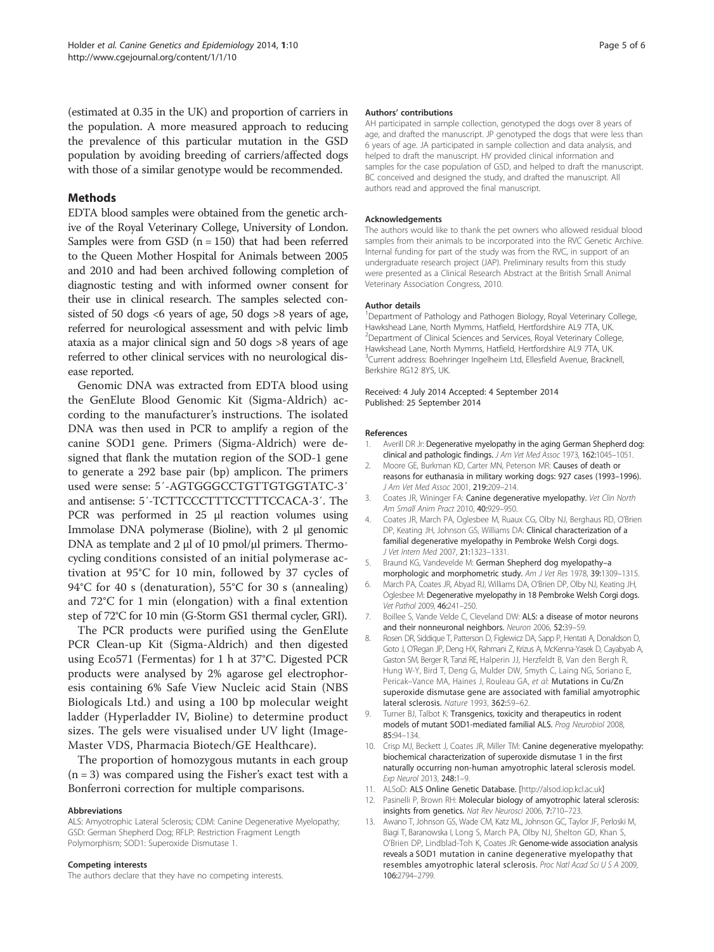<span id="page-4-0"></span>(estimated at 0.35 in the UK) and proportion of carriers in the population. A more measured approach to reducing the prevalence of this particular mutation in the GSD population by avoiding breeding of carriers/affected dogs with those of a similar genotype would be recommended.

# Methods

EDTA blood samples were obtained from the genetic archive of the Royal Veterinary College, University of London. Samples were from GSD  $(n = 150)$  that had been referred to the Queen Mother Hospital for Animals between 2005 and 2010 and had been archived following completion of diagnostic testing and with informed owner consent for their use in clinical research. The samples selected consisted of 50 dogs  $<6$  years of age, 50 dogs  $>8$  years of age, referred for neurological assessment and with pelvic limb ataxia as a major clinical sign and 50 dogs >8 years of age referred to other clinical services with no neurological disease reported.

Genomic DNA was extracted from EDTA blood using the GenElute Blood Genomic Kit (Sigma-Aldrich) according to the manufacturer's instructions. The isolated DNA was then used in PCR to amplify a region of the canine SOD1 gene. Primers (Sigma-Aldrich) were designed that flank the mutation region of the SOD-1 gene to generate a 292 base pair (bp) amplicon. The primers used were sense: 5′-AGTGGGCCTGTTGTGGTATC-3′ and antisense: 5′-TCTTCCCTTTCCTTTCCACA-3′. The PCR was performed in 25 μl reaction volumes using Immolase DNA polymerase (Bioline), with 2 μl genomic DNA as template and 2 μl of 10 pmol/μl primers. Thermocycling conditions consisted of an initial polymerase activation at 95°C for 10 min, followed by 37 cycles of 94°C for 40 s (denaturation), 55°C for 30 s (annealing) and 72°C for 1 min (elongation) with a final extention step of 72°C for 10 min (G-Storm GS1 thermal cycler, GRI).

The PCR products were purified using the GenElute PCR Clean-up Kit (Sigma-Aldrich) and then digested using Eco571 (Fermentas) for 1 h at 37°C. Digested PCR products were analysed by 2% agarose gel electrophoresis containing 6% Safe View Nucleic acid Stain (NBS Biologicals Ltd.) and using a 100 bp molecular weight ladder (Hyperladder IV, Bioline) to determine product sizes. The gels were visualised under UV light (Image-Master VDS, Pharmacia Biotech/GE Healthcare).

The proportion of homozygous mutants in each group  $(n = 3)$  was compared using the Fisher's exact test with a Bonferroni correction for multiple comparisons.

#### Abbreviations

ALS: Amyotrophic Lateral Sclerosis; CDM: Canine Degenerative Myelopathy; GSD: German Shepherd Dog; RFLP: Restriction Fragment Length Polymorphism; SOD1: Superoxide Dismutase 1.

#### Competing interests

The authors declare that they have no competing interests.

#### Authors' contributions

AH participated in sample collection, genotyped the dogs over 8 years of age, and drafted the manuscript. JP genotyped the dogs that were less than 6 years of age. JA participated in sample collection and data analysis, and helped to draft the manuscript. HV provided clinical information and samples for the case population of GSD, and helped to draft the manuscript. BC conceived and designed the study, and drafted the manuscript. All authors read and approved the final manuscript.

#### Acknowledgements

The authors would like to thank the pet owners who allowed residual blood samples from their animals to be incorporated into the RVC Genetic Archive. Internal funding for part of the study was from the RVC, in support of an undergraduate research project (JAP). Preliminary results from this study were presented as a Clinical Research Abstract at the British Small Animal Veterinary Association Congress, 2010.

#### Author details

<sup>1</sup>Department of Pathology and Pathogen Biology, Royal Veterinary College Hawkshead Lane, North Mymms, Hatfield, Hertfordshire AL9 7TA, UK. <sup>2</sup>Department of Clinical Sciences and Services, Royal Veterinary College, Hawkshead Lane, North Mymms, Hatfield, Hertfordshire AL9 7TA, UK. <sup>3</sup>Current address: Boehringer Ingelheim Ltd, Ellesfield Avenue, Bracknell Berkshire RG12 8YS, UK.

#### Received: 4 July 2014 Accepted: 4 September 2014 Published: 25 September 2014

#### References

- 1. Averill DR Jr: Degenerative myelopathy in the aging German Shepherd dog: clinical and pathologic findings. J Am Vet Med Assoc 1973, 162:1045–1051.
- 2. Moore GE, Burkman KD, Carter MN, Peterson MR: Causes of death or reasons for euthanasia in military working dogs: 927 cases (1993–1996). J Am Vet Med Assoc 2001, 219:209–214.
- 3. Coates JR, Wininger FA: Canine degenerative myelopathy. Vet Clin North Am Small Anim Pract 2010, 40:929–950.
- 4. Coates JR, March PA, Oglesbee M, Ruaux CG, Olby NJ, Berghaus RD, O'Brien DP, Keating JH, Johnson GS, Williams DA: Clinical characterization of a familial degenerative myelopathy in Pembroke Welsh Corgi dogs. J Vet Intern Med 2007, 21:1323–1331.
- 5. Braund KG, Vandevelde M: German Shepherd dog myelopathy–a morphologic and morphometric study. Am J Vet Res 1978, 39:1309-1315.
- 6. March PA, Coates JR, Abyad RJ, Williams DA, O'Brien DP, Olby NJ, Keating JH, Oglesbee M: Degenerative myelopathy in 18 Pembroke Welsh Corgi dogs. Vet Pathol 2009, 46:241–250.
- 7. Boillee S, Vande Velde C, Cleveland DW: ALS: a disease of motor neurons and their nonneuronal neighbors. Neuron 2006, 52:39–59.
- 8. Rosen DR, Siddique T, Patterson D, Figlewicz DA, Sapp P, Hentati A, Donaldson D, Goto J, O'Regan JP, Deng HX, Rahmani Z, Krizus A, McKenna-Yasek D, Cayabyab A, Gaston SM, Berger R, Tanzi RE, Halperin JJ, Herzfeldt B, Van den Bergh R, Hung W-Y, Bird T, Deng G, Mulder DW, Smyth C, Laing NG, Soriano E, Pericak–Vance MA, Haines J, Rouleau GA, et al: Mutations in Cu/Zn superoxide dismutase gene are associated with familial amyotrophic lateral sclerosis. Nature 1993, 362:59–62.
- 9. Turner BJ, Talbot K: Transgenics, toxicity and therapeutics in rodent models of mutant SOD1-mediated familial ALS. Prog Neurobiol 2008, 85:94–134.
- 10. Crisp MJ, Beckett J, Coates JR, Miller TM: Canine degenerative myelopathy: biochemical characterization of superoxide dismutase 1 in the first naturally occurring non-human amyotrophic lateral sclerosis model. Exp Neurol 2013, 248:1–9.
- 11. ALSoD: ALS Online Genetic Database. [[http://alsod.iop.kcl.ac.uk](http://alsod.iop.kcl.ac.uk/)]
- 12. Pasinelli P, Brown RH: Molecular biology of amyotrophic lateral sclerosis: insights from genetics. Nat Rev Neurosci 2006, 7:710–723.
- 13. Awano T, Johnson GS, Wade CM, Katz ML, Johnson GC, Taylor JF, Perloski M, Biagi T, Baranowska I, Long S, March PA, Olby NJ, Shelton GD, Khan S, O'Brien DP, Lindblad-Toh K, Coates JR: Genome-wide association analysis reveals a SOD1 mutation in canine degenerative myelopathy that resembles amyotrophic lateral sclerosis. Proc Natl Acad Sci U S A 2009, 106:2794–2799.